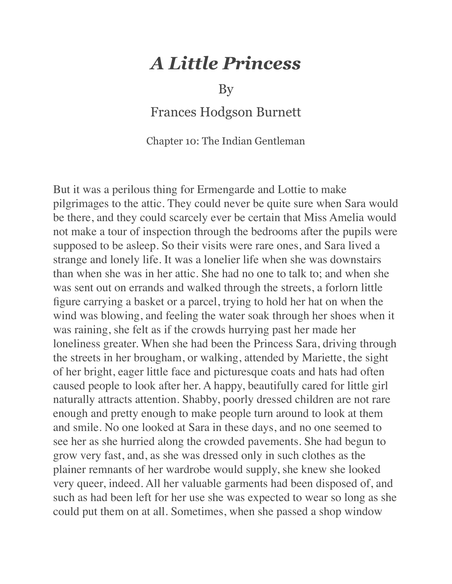## *A Little Princess*

By

Frances Hodgson Burnett

Chapter 10: The Indian Gentleman

But it was a perilous thing for Ermengarde and Lottie to make pilgrimages to the attic. They could never be quite sure when Sara would be there, and they could scarcely ever be certain that Miss Amelia would not make a tour of inspection through the bedrooms after the pupils were supposed to be asleep. So their visits were rare ones, and Sara lived a strange and lonely life. It was a lonelier life when she was downstairs than when she was in her attic. She had no one to talk to; and when she was sent out on errands and walked through the streets, a forlorn little figure carrying a basket or a parcel, trying to hold her hat on when the wind was blowing, and feeling the water soak through her shoes when it was raining, she felt as if the crowds hurrying past her made her loneliness greater. When she had been the Princess Sara, driving through the streets in her brougham, or walking, attended by Mariette, the sight of her bright, eager little face and picturesque coats and hats had often caused people to look after her. A happy, beautifully cared for little girl naturally attracts attention. Shabby, poorly dressed children are not rare enough and pretty enough to make people turn around to look at them and smile. No one looked at Sara in these days, and no one seemed to see her as she hurried along the crowded pavements. She had begun to grow very fast, and, as she was dressed only in such clothes as the plainer remnants of her wardrobe would supply, she knew she looked very queer, indeed. All her valuable garments had been disposed of, and such as had been left for her use she was expected to wear so long as she could put them on at all. Sometimes, when she passed a shop window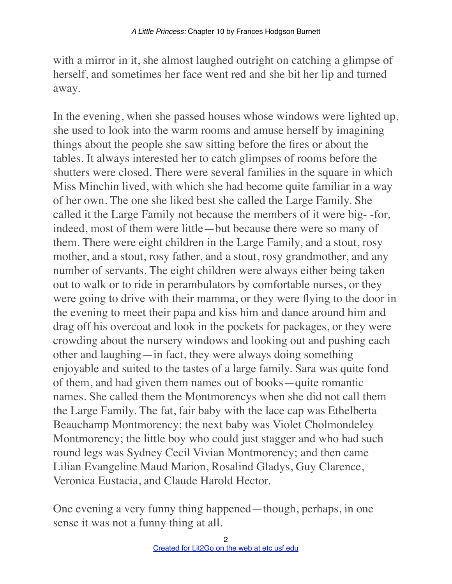with a mirror in it, she almost laughed outright on catching a glimpse of herself, and sometimes her face went red and she bit her lip and turned away.

In the evening, when she passed houses whose windows were lighted up, she used to look into the warm rooms and amuse herself by imagining things about the people she saw sitting before the fires or about the tables. It always interested her to catch glimpses of rooms before the shutters were closed. There were several families in the square in which Miss Minchin lived, with which she had become quite familiar in a way of her own. The one she liked best she called the Large Family. She called it the Large Family not because the members of it were big- -for, indeed, most of them were little—but because there were so many of them. There were eight children in the Large Family, and a stout, rosy mother, and a stout, rosy father, and a stout, rosy grandmother, and any number of servants. The eight children were always either being taken out to walk or to ride in perambulators by comfortable nurses, or they were going to drive with their mamma, or they were flying to the door in the evening to meet their papa and kiss him and dance around him and drag off his overcoat and look in the pockets for packages, or they were crowding about the nursery windows and looking out and pushing each other and laughing—in fact, they were always doing something enjoyable and suited to the tastes of a large family. Sara was quite fond of them, and had given them names out of books—quite romantic names. She called them the Montmorencys when she did not call them the Large Family. The fat, fair baby with the lace cap was Ethelberta Beauchamp Montmorency; the next baby was Violet Cholmondeley Montmorency; the little boy who could just stagger and who had such round legs was Sydney Cecil Vivian Montmorency; and then came Lilian Evangeline Maud Marion, Rosalind Gladys, Guy Clarence, Veronica Eustacia, and Claude Harold Hector.

One evening a very funny thing happened—though, perhaps, in one sense it was not a funny thing at all.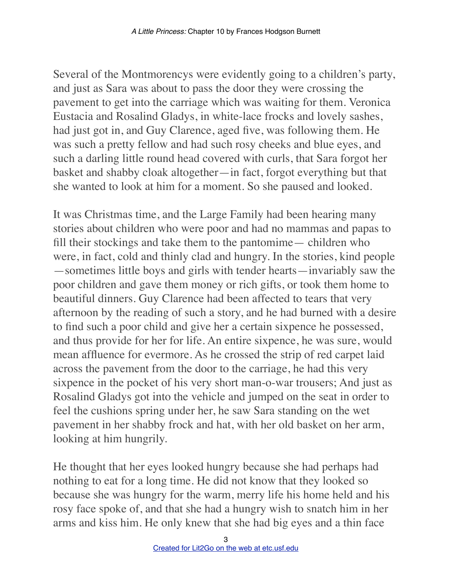Several of the Montmorencys were evidently going to a children's party, and just as Sara was about to pass the door they were crossing the pavement to get into the carriage which was waiting for them. Veronica Eustacia and Rosalind Gladys, in white-lace frocks and lovely sashes, had just got in, and Guy Clarence, aged five, was following them. He was such a pretty fellow and had such rosy cheeks and blue eyes, and such a darling little round head covered with curls, that Sara forgot her basket and shabby cloak altogether—in fact, forgot everything but that she wanted to look at him for a moment. So she paused and looked.

It was Christmas time, and the Large Family had been hearing many stories about children who were poor and had no mammas and papas to fill their stockings and take them to the pantomime— children who were, in fact, cold and thinly clad and hungry. In the stories, kind people —sometimes little boys and girls with tender hearts—invariably saw the poor children and gave them money or rich gifts, or took them home to beautiful dinners. Guy Clarence had been affected to tears that very afternoon by the reading of such a story, and he had burned with a desire to find such a poor child and give her a certain sixpence he possessed, and thus provide for her for life. An entire sixpence, he was sure, would mean affluence for evermore. As he crossed the strip of red carpet laid across the pavement from the door to the carriage, he had this very sixpence in the pocket of his very short man-o-war trousers; And just as Rosalind Gladys got into the vehicle and jumped on the seat in order to feel the cushions spring under her, he saw Sara standing on the wet pavement in her shabby frock and hat, with her old basket on her arm, looking at him hungrily.

He thought that her eyes looked hungry because she had perhaps had nothing to eat for a long time. He did not know that they looked so because she was hungry for the warm, merry life his home held and his rosy face spoke of, and that she had a hungry wish to snatch him in her arms and kiss him. He only knew that she had big eyes and a thin face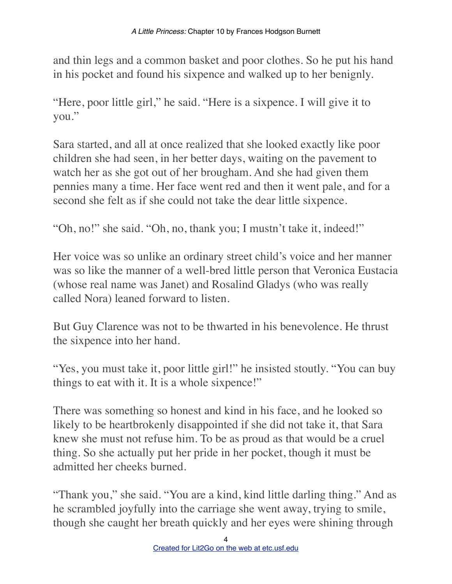and thin legs and a common basket and poor clothes. So he put his hand in his pocket and found his sixpence and walked up to her benignly.

"Here, poor little girl," he said. "Here is a sixpence. I will give it to you."

Sara started, and all at once realized that she looked exactly like poor children she had seen, in her better days, waiting on the pavement to watch her as she got out of her brougham. And she had given them pennies many a time. Her face went red and then it went pale, and for a second she felt as if she could not take the dear little sixpence.

"Oh, no!" she said. "Oh, no, thank you; I mustn't take it, indeed!"

Her voice was so unlike an ordinary street child's voice and her manner was so like the manner of a well-bred little person that Veronica Eustacia (whose real name was Janet) and Rosalind Gladys (who was really called Nora) leaned forward to listen.

But Guy Clarence was not to be thwarted in his benevolence. He thrust the sixpence into her hand.

"Yes, you must take it, poor little girl!" he insisted stoutly. "You can buy things to eat with it. It is a whole sixpence!"

There was something so honest and kind in his face, and he looked so likely to be heartbrokenly disappointed if she did not take it, that Sara knew she must not refuse him. To be as proud as that would be a cruel thing. So she actually put her pride in her pocket, though it must be admitted her cheeks burned.

"Thank you," she said. "You are a kind, kind little darling thing." And as he scrambled joyfully into the carriage she went away, trying to smile, though she caught her breath quickly and her eyes were shining through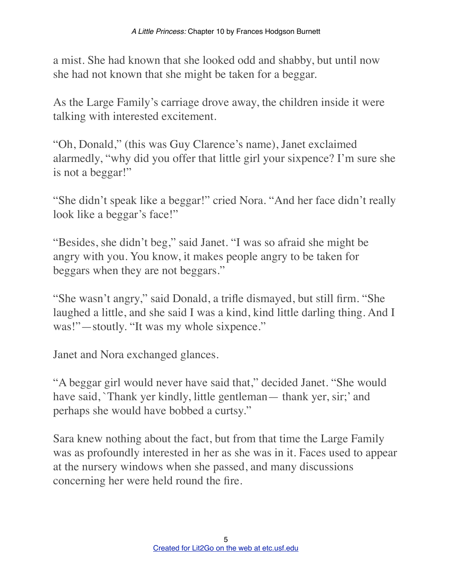a mist. She had known that she looked odd and shabby, but until now she had not known that she might be taken for a beggar.

As the Large Family's carriage drove away, the children inside it were talking with interested excitement.

"Oh, Donald," (this was Guy Clarence's name), Janet exclaimed alarmedly, "why did you offer that little girl your sixpence? I'm sure she is not a beggar!"

"She didn't speak like a beggar!" cried Nora. "And her face didn't really look like a beggar's face!"

"Besides, she didn't beg," said Janet. "I was so afraid she might be angry with you. You know, it makes people angry to be taken for beggars when they are not beggars."

"She wasn't angry," said Donald, a trifle dismayed, but still firm. "She laughed a little, and she said I was a kind, kind little darling thing. And I was!"—stoutly. "It was my whole sixpence."

Janet and Nora exchanged glances.

"A beggar girl would never have said that," decided Janet. "She would have said, `Thank yer kindly, little gentleman— thank yer, sir;' and perhaps she would have bobbed a curtsy."

Sara knew nothing about the fact, but from that time the Large Family was as profoundly interested in her as she was in it. Faces used to appear at the nursery windows when she passed, and many discussions concerning her were held round the fire.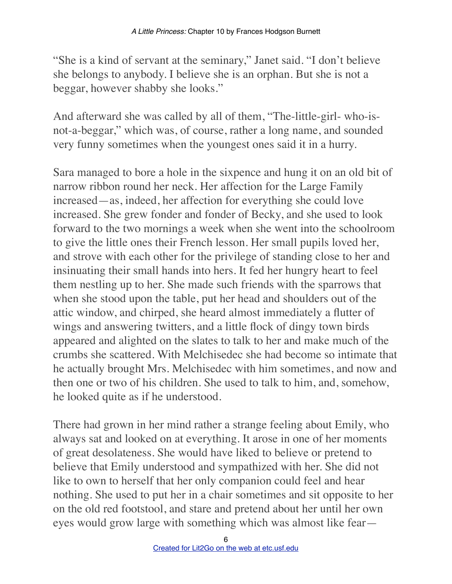"She is a kind of servant at the seminary," Janet said. "I don't believe she belongs to anybody. I believe she is an orphan. But she is not a beggar, however shabby she looks."

And afterward she was called by all of them, "The-little-girl- who-isnot-a-beggar," which was, of course, rather a long name, and sounded very funny sometimes when the youngest ones said it in a hurry.

Sara managed to bore a hole in the sixpence and hung it on an old bit of narrow ribbon round her neck. Her affection for the Large Family increased—as, indeed, her affection for everything she could love increased. She grew fonder and fonder of Becky, and she used to look forward to the two mornings a week when she went into the schoolroom to give the little ones their French lesson. Her small pupils loved her, and strove with each other for the privilege of standing close to her and insinuating their small hands into hers. It fed her hungry heart to feel them nestling up to her. She made such friends with the sparrows that when she stood upon the table, put her head and shoulders out of the attic window, and chirped, she heard almost immediately a flutter of wings and answering twitters, and a little flock of dingy town birds appeared and alighted on the slates to talk to her and make much of the crumbs she scattered. With Melchisedec she had become so intimate that he actually brought Mrs. Melchisedec with him sometimes, and now and then one or two of his children. She used to talk to him, and, somehow, he looked quite as if he understood.

There had grown in her mind rather a strange feeling about Emily, who always sat and looked on at everything. It arose in one of her moments of great desolateness. She would have liked to believe or pretend to believe that Emily understood and sympathized with her. She did not like to own to herself that her only companion could feel and hear nothing. She used to put her in a chair sometimes and sit opposite to her on the old red footstool, and stare and pretend about her until her own eyes would grow large with something which was almost like fear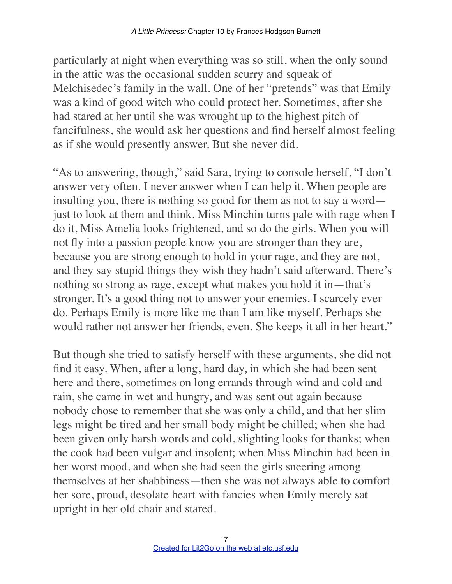particularly at night when everything was so still, when the only sound in the attic was the occasional sudden scurry and squeak of Melchisedec's family in the wall. One of her "pretends" was that Emily was a kind of good witch who could protect her. Sometimes, after she had stared at her until she was wrought up to the highest pitch of fancifulness, she would ask her questions and find herself almost feeling as if she would presently answer. But she never did.

"As to answering, though," said Sara, trying to console herself, "I don't answer very often. I never answer when I can help it. When people are insulting you, there is nothing so good for them as not to say a word just to look at them and think. Miss Minchin turns pale with rage when I do it, Miss Amelia looks frightened, and so do the girls. When you will not fly into a passion people know you are stronger than they are, because you are strong enough to hold in your rage, and they are not, and they say stupid things they wish they hadn't said afterward. There's nothing so strong as rage, except what makes you hold it in—that's stronger. It's a good thing not to answer your enemies. I scarcely ever do. Perhaps Emily is more like me than I am like myself. Perhaps she would rather not answer her friends, even. She keeps it all in her heart."

But though she tried to satisfy herself with these arguments, she did not find it easy. When, after a long, hard day, in which she had been sent here and there, sometimes on long errands through wind and cold and rain, she came in wet and hungry, and was sent out again because nobody chose to remember that she was only a child, and that her slim legs might be tired and her small body might be chilled; when she had been given only harsh words and cold, slighting looks for thanks; when the cook had been vulgar and insolent; when Miss Minchin had been in her worst mood, and when she had seen the girls sneering among themselves at her shabbiness—then she was not always able to comfort her sore, proud, desolate heart with fancies when Emily merely sat upright in her old chair and stared.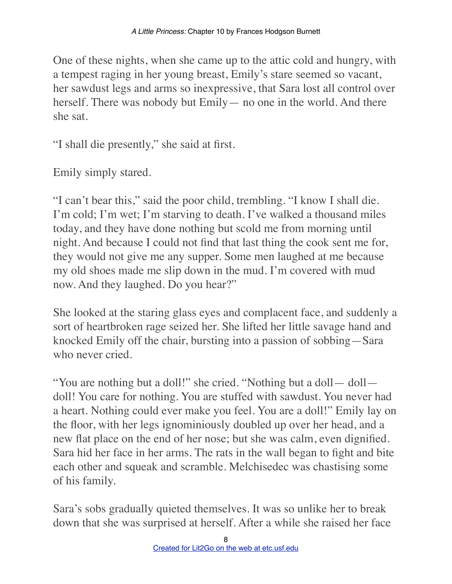One of these nights, when she came up to the attic cold and hungry, with a tempest raging in her young breast, Emily's stare seemed so vacant, her sawdust legs and arms so inexpressive, that Sara lost all control over herself. There was nobody but Emily — no one in the world. And there she sat.

"I shall die presently," she said at first.

Emily simply stared.

"I can't bear this," said the poor child, trembling. "I know I shall die. I'm cold; I'm wet; I'm starving to death. I've walked a thousand miles today, and they have done nothing but scold me from morning until night. And because I could not find that last thing the cook sent me for, they would not give me any supper. Some men laughed at me because my old shoes made me slip down in the mud. I'm covered with mud now. And they laughed. Do you hear?"

She looked at the staring glass eyes and complacent face, and suddenly a sort of heartbroken rage seized her. She lifted her little savage hand and knocked Emily off the chair, bursting into a passion of sobbing—Sara who never cried.

"You are nothing but a doll!" she cried. "Nothing but a doll— doll doll! You care for nothing. You are stuffed with sawdust. You never had a heart. Nothing could ever make you feel. You are a doll!" Emily lay on the floor, with her legs ignominiously doubled up over her head, and a new flat place on the end of her nose; but she was calm, even dignified. Sara hid her face in her arms. The rats in the wall began to fight and bite each other and squeak and scramble. Melchisedec was chastising some of his family.

Sara's sobs gradually quieted themselves. It was so unlike her to break down that she was surprised at herself. After a while she raised her face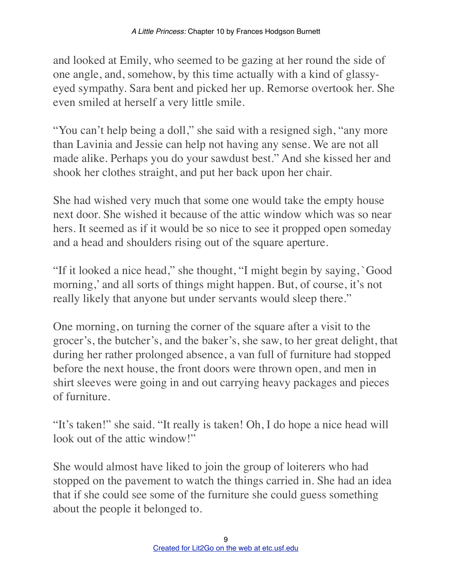and looked at Emily, who seemed to be gazing at her round the side of one angle, and, somehow, by this time actually with a kind of glassyeyed sympathy. Sara bent and picked her up. Remorse overtook her. She even smiled at herself a very little smile.

"You can't help being a doll," she said with a resigned sigh, "any more than Lavinia and Jessie can help not having any sense. We are not all made alike. Perhaps you do your sawdust best." And she kissed her and shook her clothes straight, and put her back upon her chair.

She had wished very much that some one would take the empty house next door. She wished it because of the attic window which was so near hers. It seemed as if it would be so nice to see it propped open someday and a head and shoulders rising out of the square aperture.

"If it looked a nice head," she thought, "I might begin by saying, `Good morning,' and all sorts of things might happen. But, of course, it's not really likely that anyone but under servants would sleep there."

One morning, on turning the corner of the square after a visit to the grocer's, the butcher's, and the baker's, she saw, to her great delight, that during her rather prolonged absence, a van full of furniture had stopped before the next house, the front doors were thrown open, and men in shirt sleeves were going in and out carrying heavy packages and pieces of furniture.

"It's taken!" she said. "It really is taken! Oh, I do hope a nice head will look out of the attic window!"

She would almost have liked to join the group of loiterers who had stopped on the pavement to watch the things carried in. She had an idea that if she could see some of the furniture she could guess something about the people it belonged to.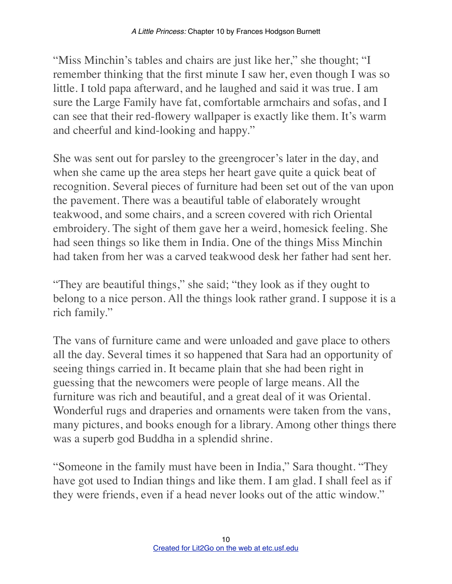"Miss Minchin's tables and chairs are just like her," she thought; "I remember thinking that the first minute I saw her, even though I was so little. I told papa afterward, and he laughed and said it was true. I am sure the Large Family have fat, comfortable armchairs and sofas, and I can see that their red-flowery wallpaper is exactly like them. It's warm and cheerful and kind-looking and happy."

She was sent out for parsley to the greengrocer's later in the day, and when she came up the area steps her heart gave quite a quick beat of recognition. Several pieces of furniture had been set out of the van upon the pavement. There was a beautiful table of elaborately wrought teakwood, and some chairs, and a screen covered with rich Oriental embroidery. The sight of them gave her a weird, homesick feeling. She had seen things so like them in India. One of the things Miss Minchin had taken from her was a carved teakwood desk her father had sent her.

"They are beautiful things," she said; "they look as if they ought to belong to a nice person. All the things look rather grand. I suppose it is a rich family."

The vans of furniture came and were unloaded and gave place to others all the day. Several times it so happened that Sara had an opportunity of seeing things carried in. It became plain that she had been right in guessing that the newcomers were people of large means. All the furniture was rich and beautiful, and a great deal of it was Oriental. Wonderful rugs and draperies and ornaments were taken from the vans, many pictures, and books enough for a library. Among other things there was a superb god Buddha in a splendid shrine.

"Someone in the family must have been in India," Sara thought. "They have got used to Indian things and like them. I am glad. I shall feel as if they were friends, even if a head never looks out of the attic window."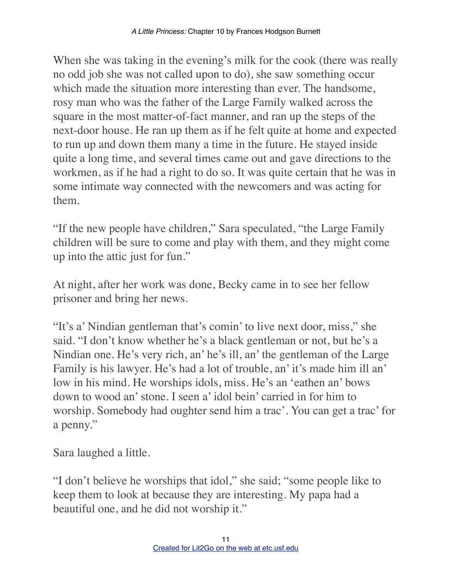When she was taking in the evening's milk for the cook (there was really no odd job she was not called upon to do), she saw something occur which made the situation more interesting than ever. The handsome, rosy man who was the father of the Large Family walked across the square in the most matter-of-fact manner, and ran up the steps of the next-door house. He ran up them as if he felt quite at home and expected to run up and down them many a time in the future. He stayed inside quite a long time, and several times came out and gave directions to the workmen, as if he had a right to do so. It was quite certain that he was in some intimate way connected with the newcomers and was acting for them.

"If the new people have children," Sara speculated, "the Large Family children will be sure to come and play with them, and they might come up into the attic just for fun."

At night, after her work was done, Becky came in to see her fellow prisoner and bring her news.

"It's a' Nindian gentleman that's comin' to live next door, miss," she said. "I don't know whether he's a black gentleman or not, but he's a Nindian one. He's very rich, an' he's ill, an' the gentleman of the Large Family is his lawyer. He's had a lot of trouble, an' it's made him ill an' low in his mind. He worships idols, miss. He's an 'eathen an' bows down to wood an' stone. I seen a' idol bein' carried in for him to worship. Somebody had oughter send him a trac'. You can get a trac' for a penny."

Sara laughed a little.

"I don't believe he worships that idol," she said; "some people like to keep them to look at because they are interesting. My papa had a beautiful one, and he did not worship it."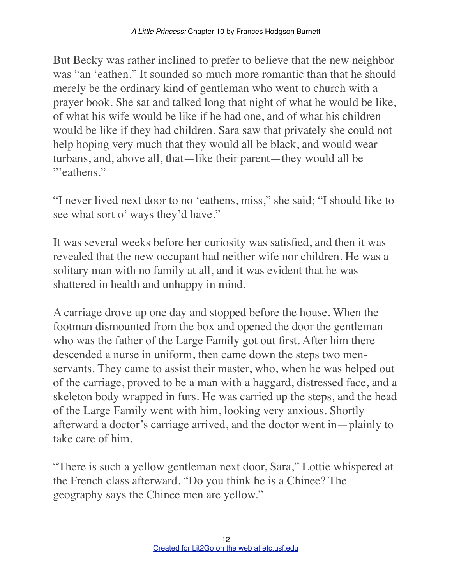But Becky was rather inclined to prefer to believe that the new neighbor was "an 'eathen." It sounded so much more romantic than that he should merely be the ordinary kind of gentleman who went to church with a prayer book. She sat and talked long that night of what he would be like, of what his wife would be like if he had one, and of what his children would be like if they had children. Sara saw that privately she could not help hoping very much that they would all be black, and would wear turbans, and, above all, that—like their parent—they would all be "'eathens."

"I never lived next door to no 'eathens, miss," she said; "I should like to see what sort o' ways they'd have."

It was several weeks before her curiosity was satisfied, and then it was revealed that the new occupant had neither wife nor children. He was a solitary man with no family at all, and it was evident that he was shattered in health and unhappy in mind.

A carriage drove up one day and stopped before the house. When the footman dismounted from the box and opened the door the gentleman who was the father of the Large Family got out first. After him there descended a nurse in uniform, then came down the steps two menservants. They came to assist their master, who, when he was helped out of the carriage, proved to be a man with a haggard, distressed face, and a skeleton body wrapped in furs. He was carried up the steps, and the head of the Large Family went with him, looking very anxious. Shortly afterward a doctor's carriage arrived, and the doctor went in—plainly to take care of him.

"There is such a yellow gentleman next door, Sara," Lottie whispered at the French class afterward. "Do you think he is a Chinee? The geography says the Chinee men are yellow."